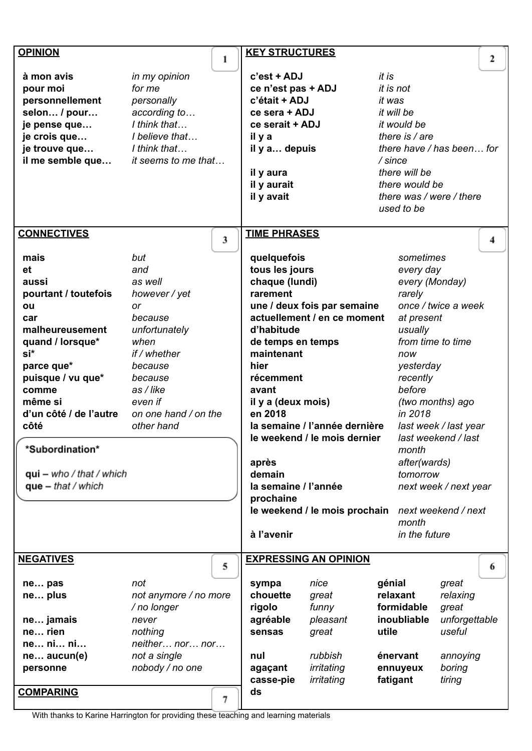| <b>OPINION</b>             |                       | 1 | <b>KEY STRUCTURES</b> |                               |           |                   |                           | $\mathbf{2}$ |
|----------------------------|-----------------------|---|-----------------------|-------------------------------|-----------|-------------------|---------------------------|--------------|
| à mon avis                 | in my opinion         |   | c'est + ADJ           |                               | it is     |                   |                           |              |
| pour moi                   | for me                |   | ce n'est pas + ADJ    |                               |           | it is not         |                           |              |
| personnellement            | personally            |   | c'était + ADJ         |                               | it was    |                   |                           |              |
| selon / pour               | according to          |   | ce sera + ADJ         |                               |           | it will be        |                           |              |
|                            | I think that          |   | ce serait + ADJ       |                               |           | it would be       |                           |              |
| je pense que               |                       |   |                       |                               |           |                   |                           |              |
| je crois que               | I believe that        |   | il y a                |                               |           | there is $/$ are  |                           |              |
| je trouve que              | I think that          |   | il y a depuis         |                               |           |                   | there have / has been for |              |
| il me semble que           | it seems to me that   |   |                       |                               | $/$ since |                   |                           |              |
|                            |                       |   | il y aura             |                               |           | there will be     |                           |              |
|                            |                       |   | il y aurait           |                               |           | there would be    |                           |              |
|                            |                       |   | il y avait            |                               |           |                   | there was / were / there  |              |
|                            |                       |   |                       |                               |           | used to be        |                           |              |
| <b>CONNECTIVES</b>         |                       |   | <b>TIME PHRASES</b>   |                               |           |                   |                           |              |
|                            |                       | 3 |                       |                               |           |                   |                           | 4            |
| mais                       | but                   |   | quelquefois           |                               |           | sometimes         |                           |              |
| et                         | and                   |   | tous les jours        |                               |           | every day         |                           |              |
| aussi                      | as well               |   | chaque (lundi)        |                               |           | every (Monday)    |                           |              |
| pourtant / toutefois       | however / yet         |   | rarement              |                               |           | rarely            |                           |              |
| ou                         | or                    |   |                       | une / deux fois par semaine   |           |                   | once / twice a week       |              |
| car                        | because               |   |                       | actuellement / en ce moment   |           | at present        |                           |              |
| malheureusement            | unfortunately         |   | d'habitude            |                               |           | usually           |                           |              |
| quand / lorsque*           | when                  |   | de temps en temps     |                               |           | from time to time |                           |              |
| si*                        | if / whether          |   | maintenant            |                               |           | now               |                           |              |
| parce que*                 | because               |   | hier                  |                               |           | yesterday         |                           |              |
| puisque / vu que*          | because               |   | récemment             |                               |           | recently          |                           |              |
| comme                      | as / like             |   | avant                 |                               |           | before            |                           |              |
| même si                    | even if               |   | il y a (deux mois)    |                               |           |                   | (two months) ago          |              |
| d'un côté / de l'autre     | on one hand / on the  |   | en 2018               |                               |           | in 2018           |                           |              |
| côté                       | other hand            |   |                       | la semaine / l'année dernière |           |                   | last week / last year     |              |
|                            |                       |   |                       | le weekend / le mois dernier  |           |                   | last weekend / last       |              |
| *Subordination*            |                       |   |                       |                               |           | month             |                           |              |
|                            |                       |   | après                 |                               |           | after(wards)      |                           |              |
| $qui - who / that / which$ |                       |   | demain                |                               |           | tomorrow          |                           |              |
| $que - that / which$       |                       |   | la semaine / l'année  |                               |           |                   | next week / next year     |              |
|                            |                       |   | prochaine             |                               |           |                   |                           |              |
|                            |                       |   |                       | le weekend / le mois prochain |           |                   | next weekend / next       |              |
|                            |                       |   |                       |                               |           | month             |                           |              |
|                            |                       |   | à l'avenir            |                               |           | in the future     |                           |              |
| <b>NEGATIVES</b>           |                       |   |                       | <b>EXPRESSING AN OPINION</b>  |           |                   |                           |              |
|                            |                       | 5 |                       |                               |           |                   |                           | 6            |
| ne pas                     | not                   |   | sympa                 | nice                          | génial    |                   | great                     |              |
| ne plus                    | not anymore / no more |   | chouette              | great                         |           | relaxant          | relaxing                  |              |
|                            | / no longer           |   | rigolo                | funny                         |           | formidable        | great                     |              |
| ne jamais                  | never                 |   | agréable              | pleasant                      |           | inoubliable       | unforgettable             |              |
| ne rien                    | nothing               |   | sensas                | great                         | utile     |                   | useful                    |              |
| ne ni ni                   | neither nor nor       |   |                       |                               |           |                   |                           |              |
| ne aucun(e)                | not a single          |   | nul                   | rubbish                       |           | énervant          | annoying                  |              |
| personne                   | nobody / no one       |   | agaçant               | irritating                    |           | ennuyeux          | boring                    |              |
|                            |                       |   | casse-pie             | irritating                    |           | fatigant          | tiring                    |              |
| <b>COMPARING</b>           |                       |   | ds                    |                               |           |                   |                           |              |
|                            |                       | 7 |                       |                               |           |                   |                           |              |

With thanks to Karine Harrington for providing these teaching and learning materials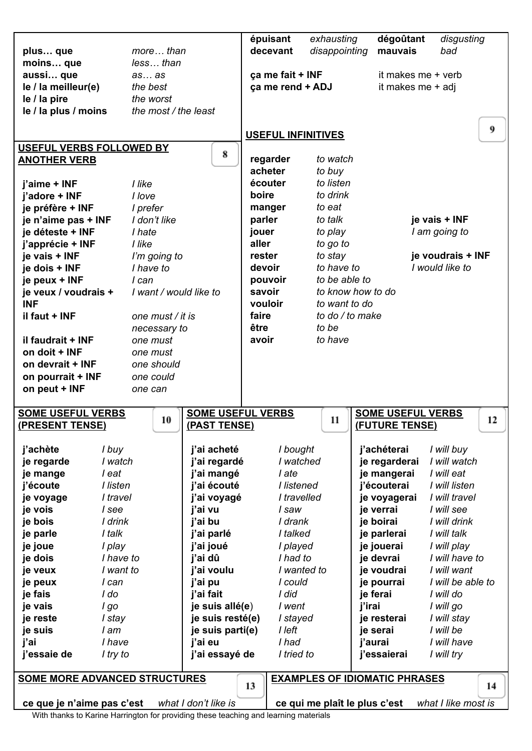|                                                                                                                   |                        |                      | épuisant                  | exhausting      | dégoûtant                                  | disgusting                 |
|-------------------------------------------------------------------------------------------------------------------|------------------------|----------------------|---------------------------|-----------------|--------------------------------------------|----------------------------|
| plus que                                                                                                          | more than              |                      | decevant                  | disappointing   | mauvais                                    | bad                        |
| moins que                                                                                                         | lessthan               |                      |                           |                 |                                            |                            |
| aussi que                                                                                                         | asas                   |                      | ça me fait + INF          |                 |                                            | it makes me + verb         |
| le / la meilleur(e)                                                                                               | the best               |                      | ca me rend + ADJ          |                 |                                            | it makes me + adj          |
| le / la pire                                                                                                      | the worst              |                      |                           |                 |                                            |                            |
| le / la plus / moins                                                                                              | the most / the least   |                      |                           |                 |                                            |                            |
|                                                                                                                   |                        |                      | <b>USEFUL INFINITIVES</b> |                 |                                            | 9                          |
| USEFUL VERBS FOLLOWED BY                                                                                          |                        |                      |                           |                 |                                            |                            |
| <b>ANOTHER VERB</b>                                                                                               |                        | 8                    | regarder                  | to watch        |                                            |                            |
|                                                                                                                   |                        |                      | acheter                   | to buy          |                                            |                            |
| j'aime + INF                                                                                                      | I like                 |                      | écouter                   | to listen       |                                            |                            |
| j'adore + INF                                                                                                     | I love                 |                      | boire                     | to drink        |                                            |                            |
| je préfère + INF                                                                                                  | I prefer               |                      | manger                    | to eat          |                                            |                            |
| je n'aime pas + INF                                                                                               | I don't like           |                      | parler                    | to talk         |                                            | je vais + INF              |
| je déteste + INF                                                                                                  | I hate                 |                      | jouer                     | to play         |                                            | I am going to              |
| j'apprécie + INF                                                                                                  | I like                 |                      | aller                     | to go to        |                                            |                            |
| je vais + INF                                                                                                     | I'm going to           |                      | rester                    | to stay         |                                            | je voudrais + INF          |
| je dois + INF                                                                                                     | I have to              |                      | devoir                    | to have to      |                                            | I would like to            |
| je peux + INF                                                                                                     | I can                  |                      | pouvoir                   | to be able to   |                                            |                            |
| je veux / voudrais +                                                                                              | I want / would like to |                      | savoir                    |                 | to know how to do                          |                            |
| <b>INF</b>                                                                                                        |                        |                      | vouloir                   | to want to do   |                                            |                            |
| il faut + INF                                                                                                     | one must / it is       |                      | faire                     | to do / to make |                                            |                            |
|                                                                                                                   | necessary to           |                      | être                      | to be           |                                            |                            |
| il faudrait + INF                                                                                                 | one must               |                      | avoir                     | to have         |                                            |                            |
| on doit + INF                                                                                                     | one must               |                      |                           |                 |                                            |                            |
| on devrait + INF                                                                                                  | one should             |                      |                           |                 |                                            |                            |
| on pourrait + INF                                                                                                 | one could              |                      |                           |                 |                                            |                            |
| on peut + INF                                                                                                     | one can                |                      |                           |                 |                                            |                            |
| <b>SOME USEFUL VERBS</b><br>(PRESENT TENSE)                                                                       | 10                     | (PAST TENSE)         | <b>SOME USEFUL VERBS</b>  | 11              | <b>SOME USEFUL VERBS</b><br>(FUTURE TENSE) | 12                         |
|                                                                                                                   |                        |                      |                           |                 |                                            |                            |
| j'achète<br>I buy                                                                                                 |                        | j'ai acheté          | I bought                  |                 | j'achéterai                                | I will buy                 |
| I watch<br>je regarde                                                                                             |                        | j'ai regardé         | I watched                 |                 | je regarderai                              | I will watch               |
| l eat<br>je mange                                                                                                 |                        | j'ai mangé           | l ate                     |                 | je mangerai                                | I will eat                 |
| j'écoute<br>I listen                                                                                              |                        | j'ai écouté          | I listened                |                 | i'écouterai                                | I will listen              |
| I travel<br>je voyage                                                                                             |                        | j'ai voyagé          | I travelled               |                 | je voyagerai                               | I will travel              |
| je vois<br>I see<br>je bois<br>I drink                                                                            |                        | j'ai vu<br>j'ai bu   | I saw<br>I drank          |                 | je verrai<br>je boirai                     | I will see<br>I will drink |
| je parle<br>I talk                                                                                                |                        | j'ai parlé           | I talked                  |                 | je parlerai                                | I will talk                |
| je joue<br>I play                                                                                                 |                        | j'ai joué            | I played                  |                 | je jouerai                                 | I will play                |
| je dois                                                                                                           | I have to              | j'ai dû              | I had to                  |                 | je devrai                                  | I will have to             |
| je veux                                                                                                           | I want to              | j'ai voulu           | I wanted to               |                 | je voudrai                                 | I will want                |
| je peux<br>I can                                                                                                  |                        | j'ai pu              | I could                   |                 | je pourrai                                 | I will be able to          |
| je fais<br>I do                                                                                                   |                        | j'ai fait            | I did                     |                 | je ferai                                   | I will do                  |
| je vais<br>l go                                                                                                   |                        | je suis allé(e)      | I went                    |                 | j'irai                                     | I will go                  |
| je reste<br>I stay                                                                                                |                        | je suis resté(e)     | I stayed                  |                 | je resterai                                | I will stay                |
| I am<br>je suis                                                                                                   |                        | je suis parti(e)     | I left                    |                 | je serai                                   | I will be                  |
| i'ai<br>I have                                                                                                    |                        | j'ai eu              | I had                     |                 | j'aurai                                    | I will have                |
| j'essaie de<br>I try to                                                                                           |                        | j'ai essayé de       | I tried to                |                 | j'essaierai                                | I will try                 |
|                                                                                                                   |                        |                      |                           |                 |                                            |                            |
| <b>EXAMPLES OF IDIOMATIC PHRASES</b><br><b>SOME MORE ADVANCED STRUCTURES</b><br>13<br>14                          |                        |                      |                           |                 |                                            |                            |
|                                                                                                                   |                        |                      |                           |                 |                                            | what I like most is        |
| ce que je n'aime pas c'est<br>With thenke to Kering Herrington for providing these teaching and looming meterials |                        | what I don't like is |                           |                 | ce qui me plaît le plus c'est              |                            |

With thanks to Karine Harrington for providing these teaching and learning materials